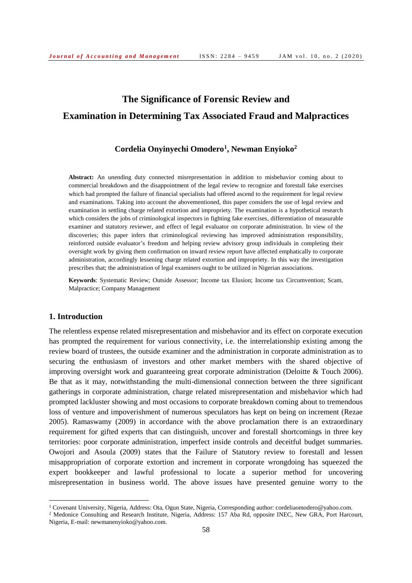# **The Significance of Forensic Review and Examination in Determining Tax Associated Fraud and Malpractices**

## **Cordelia Onyinyechi Omodero<sup>1</sup> , Newman Enyioko<sup>2</sup>**

**Abstract:** An unending duty connected misrepresentation in addition to misbehavior coming about to commercial breakdown and the disappointment of the legal review to recognize and forestall fake exercises which had prompted the failure of financial specialists had offered ascend to the requirement for legal review and examinations. Taking into account the abovementioned, this paper considers the use of legal review and examination in settling charge related extortion and impropriety. The examination is a hypothetical research which considers the jobs of criminological inspectors in fighting fake exercises, differentiation of measurable examiner and statutory reviewer, and effect of legal evaluator on corporate administration. In view of the discoveries; this paper infers that criminological reviewing has improved administration responsibility, reinforced outside evaluator's freedom and helping review advisory group individuals in completing their oversight work by giving them confirmation on inward review report have affected emphatically to corporate administration, accordingly lessening charge related extortion and impropriety. In this way the investigation prescribes that; the administration of legal examiners ought to be utilized in Nigerian associations.

**Keywords**: Systematic Review; Outside Assessor; Income tax Elusion; Income tax Circumvention; Scam, Malpractice; Company Management

## **1. Introduction**

l

The relentless expense related misrepresentation and misbehavior and its effect on corporate execution has prompted the requirement for various connectivity, i.e. the interrelationship existing among the review board of trustees, the outside examiner and the administration in corporate administration as to securing the enthusiasm of investors and other market members with the shared objective of improving oversight work and guaranteeing great corporate administration (Deloitte & Touch 2006). Be that as it may, notwithstanding the multi-dimensional connection between the three significant gatherings in corporate administration, charge related misrepresentation and misbehavior which had prompted lackluster showing and most occasions to corporate breakdown coming about to tremendous loss of venture and impoverishment of numerous speculators has kept on being on increment (Rezae 2005). Ramaswamy (2009) in accordance with the above proclamation there is an extraordinary requirement for gifted experts that can distinguish, uncover and forestall shortcomings in three key territories: poor corporate administration, imperfect inside controls and deceitful budget summaries. Owojori and Asoula (2009) states that the Failure of Statutory review to forestall and lessen misappropriation of corporate extortion and increment in corporate wrongdoing has squeezed the expert bookkeeper and lawful professional to locate a superior method for uncovering misrepresentation in business world. The above issues have presented genuine worry to the

<sup>1</sup> Covenant University, Nigeria, Address: Ota, Ogun State, Nigeria, Corresponding author: cordeliaomodero@yahoo.com.

<sup>&</sup>lt;sup>2</sup> Medonice Consulting and Research Institute, Nigeria, Address: 157 Aba Rd, opposite INEC, New GRA, Port Harcourt, Nigeria, E-mail: newmanenyioko@yahoo.com.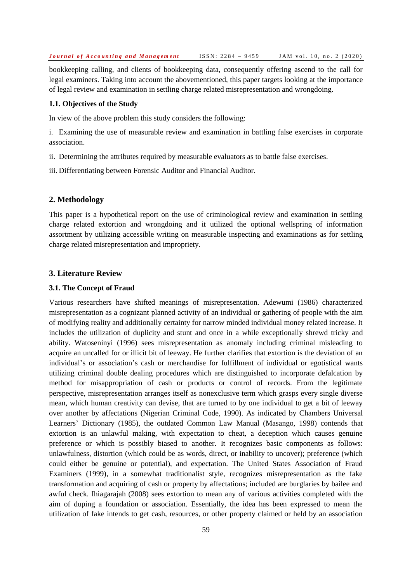bookkeeping calling, and clients of bookkeeping data, consequently offering ascend to the call for legal examiners. Taking into account the abovementioned, this paper targets looking at the importance of legal review and examination in settling charge related misrepresentation and wrongdoing.

#### **1.1. Objectives of the Study**

In view of the above problem this study considers the following:

i. Examining the use of measurable review and examination in battling false exercises in corporate association.

ii. Determining the attributes required by measurable evaluators as to battle false exercises.

iii. Differentiating between Forensic Auditor and Financial Auditor.

#### **2. Methodology**

This paper is a hypothetical report on the use of criminological review and examination in settling charge related extortion and wrongdoing and it utilized the optional wellspring of information assortment by utilizing accessible writing on measurable inspecting and examinations as for settling charge related misrepresentation and impropriety.

#### **3. Literature Review**

#### **3.1. The Concept of Fraud**

Various researchers have shifted meanings of misrepresentation. Adewumi (1986) characterized misrepresentation as a cognizant planned activity of an individual or gathering of people with the aim of modifying reality and additionally certainty for narrow minded individual money related increase. It includes the utilization of duplicity and stunt and once in a while exceptionally shrewd tricky and ability. Watoseninyi (1996) sees misrepresentation as anomaly including criminal misleading to acquire an uncalled for or illicit bit of leeway. He further clarifies that extortion is the deviation of an individual's or association's cash or merchandise for fulfillment of individual or egotistical wants utilizing criminal double dealing procedures which are distinguished to incorporate defalcation by method for misappropriation of cash or products or control of records. From the legitimate perspective, misrepresentation arranges itself as nonexclusive term which grasps every single diverse mean, which human creativity can devise, that are turned to by one individual to get a bit of leeway over another by affectations (Nigerian Criminal Code, 1990). As indicated by Chambers Universal Learners' Dictionary (1985), the outdated Common Law Manual (Masango, 1998) contends that extortion is an unlawful making, with expectation to cheat, a deception which causes genuine preference or which is possibly biased to another. It recognizes basic components as follows: unlawfulness, distortion (which could be as words, direct, or inability to uncover); preference (which could either be genuine or potential), and expectation. The United States Association of Fraud Examiners (1999), in a somewhat traditionalist style, recognizes misrepresentation as the fake transformation and acquiring of cash or property by affectations; included are burglaries by bailee and awful check. Ihiagarajah (2008) sees extortion to mean any of various activities completed with the aim of duping a foundation or association. Essentially, the idea has been expressed to mean the utilization of fake intends to get cash, resources, or other property claimed or held by an association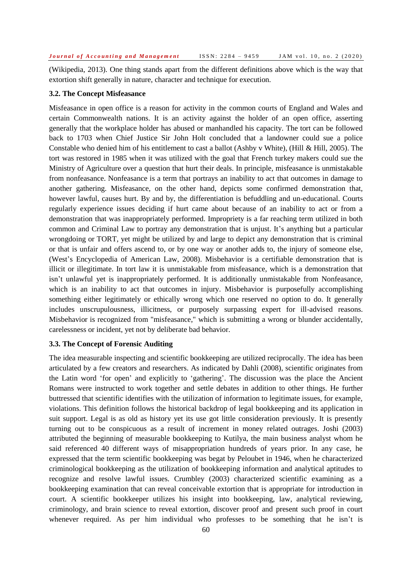(Wikipedia, 2013). One thing stands apart from the different definitions above which is the way that extortion shift generally in nature, character and technique for execution.

#### **3.2. The Concept Misfeasance**

Misfeasance in open office is a reason for activity in the common courts of England and Wales and certain Commonwealth nations. It is an activity against the holder of an open office, asserting generally that the workplace holder has abused or manhandled his capacity. The tort can be followed back to 1703 when Chief Justice Sir John Holt concluded that a landowner could sue a police Constable who denied him of his entitlement to cast a ballot (Ashby v White), (Hill & Hill, 2005). The tort was restored in 1985 when it was utilized with the goal that French turkey makers could sue the Ministry of Agriculture over a question that hurt their deals. In principle, misfeasance is unmistakable from nonfeasance. Nonfeasance is a term that portrays an inability to act that outcomes in damage to another gathering. Misfeasance, on the other hand, depicts some confirmed demonstration that, however lawful, causes hurt. By and by, the differentiation is befuddling and un-educational. Courts regularly experience issues deciding if hurt came about because of an inability to act or from a demonstration that was inappropriately performed. Impropriety is a far reaching term utilized in both common and Criminal Law to portray any demonstration that is unjust. It's anything but a particular wrongdoing or TORT, yet might be utilized by and large to depict any demonstration that is criminal or that is unfair and offers ascend to, or by one way or another adds to, the injury of someone else, (West's Encyclopedia of American Law, 2008). Misbehavior is a certifiable demonstration that is illicit or illegitimate. In tort law it is unmistakable from misfeasance, which is a demonstration that isn't unlawful yet is inappropriately performed. It is additionally unmistakable from Nonfeasance, which is an inability to act that outcomes in injury. Misbehavior is purposefully accomplishing something either legitimately or ethically wrong which one reserved no option to do. It generally includes unscrupulousness, illicitness, or purposely surpassing expert for ill-advised reasons. Misbehavior is recognized from "misfeasance," which is submitting a wrong or blunder accidentally, carelessness or incident, yet not by deliberate bad behavior.

#### **3.3. The Concept of Forensic Auditing**

The idea measurable inspecting and scientific bookkeeping are utilized reciprocally. The idea has been articulated by a few creators and researchers. As indicated by Dahli (2008), scientific originates from the Latin word 'for open' and explicitly to 'gathering'. The discussion was the place the Ancient Romans were instructed to work together and settle debates in addition to other things. He further buttressed that scientific identifies with the utilization of information to legitimate issues, for example, violations. This definition follows the historical backdrop of legal bookkeeping and its application in suit support. Legal is as old as history yet its use got little consideration previously. It is presently turning out to be conspicuous as a result of increment in money related outrages. Joshi (2003) attributed the beginning of measurable bookkeeping to Kutilya, the main business analyst whom he said referenced 40 different ways of misappropriation hundreds of years prior. In any case, he expressed that the term scientific bookkeeping was begat by Peloubet in 1946, when he characterized criminological bookkeeping as the utilization of bookkeeping information and analytical aptitudes to recognize and resolve lawful issues. Crumbley (2003) characterized scientific examining as a bookkeeping examination that can reveal conceivable extortion that is appropriate for introduction in court. A scientific bookkeeper utilizes his insight into bookkeeping, law, analytical reviewing, criminology, and brain science to reveal extortion, discover proof and present such proof in court whenever required. As per him individual who professes to be something that he isn't is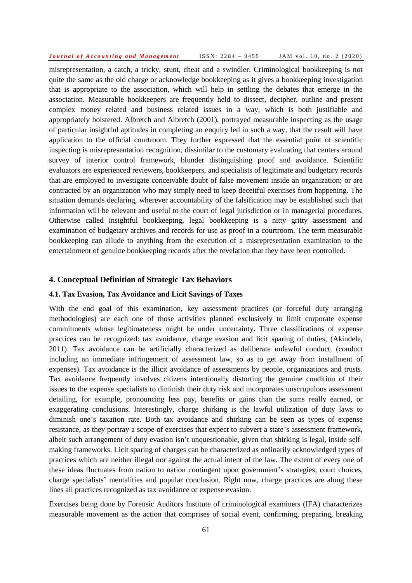misrepresentation, a catch, a tricky, stunt, cheat and a swindler. Criminological bookkeeping is not quite the same as the old charge or acknowledge bookkeeping as it gives a bookkeeping investigation that is appropriate to the association, which will help in settling the debates that emerge in the association. Measurable bookkeepers are frequently held to dissect, decipher, outline and present complex money related and business related issues in a way, which is both justifiable and appropriately bolstered. Albretch and Albretch (2001), portrayed measurable inspecting as the usage of particular insightful aptitudes in completing an enquiry led in such a way, that the result will have application to the official courtroom. They further expressed that the essential point of scientific inspecting is misrepresentation recognition, dissimilar to the customary evaluating that centers around survey of interior control framework, blunder distinguishing proof and avoidance. Scientific evaluators are experienced reviewers, bookkeepers, and specialists of legitimate and budgetary records that are employed to investigate conceivable doubt of false movement inside an organization; or are contracted by an organization who may simply need to keep deceitful exercises from happening. The situation demands declaring, wherever accountability of the falsification may be established such that information will be relevant and useful to the court of legal jurisdiction or in managerial procedures. Otherwise called insightful bookkeeping, legal bookkeeping is a nitty gritty assessment and examination of budgetary archives and records for use as proof in a courtroom. The term measurable bookkeeping can allude to anything from the execution of a misrepresentation examination to the entertainment of genuine bookkeeping records after the revelation that they have been controlled.

#### **4. Conceptual Definition of Strategic Tax Behaviors**

#### **4.1. Tax Evasion, Tax Avoidance and Licit Savings of Taxes**

With the end goal of this examination, key assessment practices (or forceful duty arranging methodologies) are each one of those activities planned exclusively to limit corporate expense commitments whose legitimateness might be under uncertainty. Three classifications of expense practices can be recognized: tax avoidance, charge evasion and licit sparing of duties, (Akindele, 2011). Tax avoidance can be artificially characterized as deliberate unlawful conduct, (conduct including an immediate infringement of assessment law, so as to get away from installment of expenses). Tax avoidance is the illicit avoidance of assessments by people, organizations and trusts. Tax avoidance frequently involves citizens intentionally distorting the genuine condition of their issues to the expense specialists to diminish their duty risk and incorporates unscrupulous assessment detailing, for example, pronouncing less pay, benefits or gains than the sums really earned, or exaggerating conclusions. Interestingly, charge shirking is the lawful utilization of duty laws to diminish one's taxation rate. Both tax avoidance and shirking can be seen as types of expense resistance, as they portray a scope of exercises that expect to subvert a state's assessment framework, albeit such arrangement of duty evasion isn't unquestionable, given that shirking is legal, inside selfmaking frameworks. Licit sparing of charges can be characterized as ordinarily acknowledged types of practices which are neither illegal nor against the actual intent of the law. The extent of every one of these ideas fluctuates from nation to nation contingent upon government's strategies, court choices, charge specialists' mentalities and popular conclusion. Right now, charge practices are along these lines all practices recognized as tax avoidance or expense evasion.

Exercises being done by Forensic Auditors Institute of criminological examiners (IFA) characterizes measurable movement as the action that comprises of social event, confirming, preparing, breaking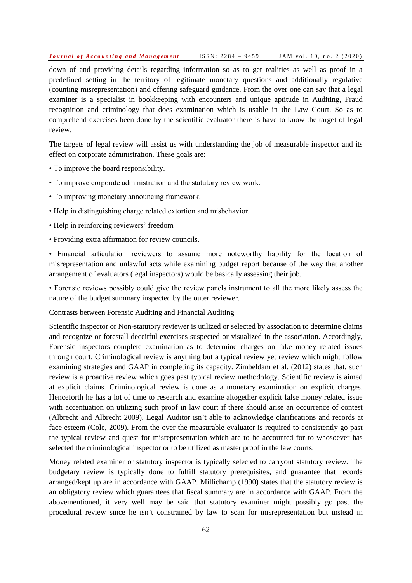down of and providing details regarding information so as to get realities as well as proof in a predefined setting in the territory of legitimate monetary questions and additionally regulative (counting misrepresentation) and offering safeguard guidance. From the over one can say that a legal examiner is a specialist in bookkeeping with encounters and unique aptitude in Auditing, Fraud recognition and criminology that does examination which is usable in the Law Court. So as to comprehend exercises been done by the scientific evaluator there is have to know the target of legal review.

The targets of legal review will assist us with understanding the job of measurable inspector and its effect on corporate administration. These goals are:

- To improve the board responsibility.
- To improve corporate administration and the statutory review work.
- To improving monetary announcing framework.
- Help in distinguishing charge related extortion and misbehavior.
- Help in reinforcing reviewers' freedom
- Providing extra affirmation for review councils.

• Financial articulation reviewers to assume more noteworthy liability for the location of misrepresentation and unlawful acts while examining budget report because of the way that another arrangement of evaluators (legal inspectors) would be basically assessing their job.

• Forensic reviews possibly could give the review panels instrument to all the more likely assess the nature of the budget summary inspected by the outer reviewer.

Contrasts between Forensic Auditing and Financial Auditing

Scientific inspector or Non-statutory reviewer is utilized or selected by association to determine claims and recognize or forestall deceitful exercises suspected or visualized in the association. Accordingly, Forensic inspectors complete examination as to determine charges on fake money related issues through court. Criminological review is anything but a typical review yet review which might follow examining strategies and GAAP in completing its capacity. Zimbeldam et al. (2012) states that, such review is a proactive review which goes past typical review methodology. Scientific review is aimed at explicit claims. Criminological review is done as a monetary examination on explicit charges. Henceforth he has a lot of time to research and examine altogether explicit false money related issue with accentuation on utilizing such proof in law court if there should arise an occurrence of contest (Albrecht and Albrecht 2009). Legal Auditor isn't able to acknowledge clarifications and records at face esteem (Cole, 2009). From the over the measurable evaluator is required to consistently go past the typical review and quest for misrepresentation which are to be accounted for to whosoever has selected the criminological inspector or to be utilized as master proof in the law courts.

Money related examiner or statutory inspector is typically selected to carryout statutory review. The budgetary review is typically done to fulfill statutory prerequisites, and guarantee that records arranged/kept up are in accordance with GAAP. Millichamp (1990) states that the statutory review is an obligatory review which guarantees that fiscal summary are in accordance with GAAP. From the abovementioned, it very well may be said that statutory examiner might possibly go past the procedural review since he isn't constrained by law to scan for misrepresentation but instead in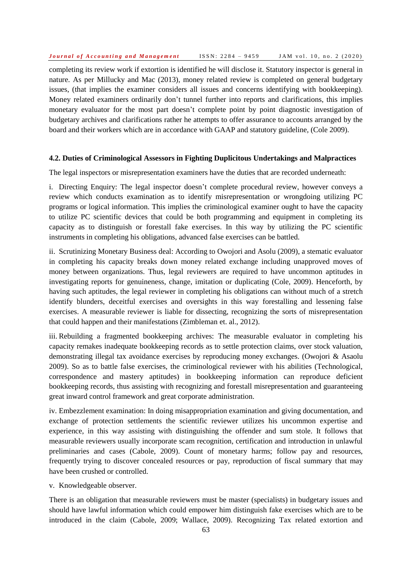completing its review work if extortion is identified he will disclose it. Statutory inspector is general in nature. As per Millucky and Mac (2013), money related review is completed on general budgetary issues, (that implies the examiner considers all issues and concerns identifying with bookkeeping). Money related examiners ordinarily don't tunnel further into reports and clarifications, this implies monetary evaluator for the most part doesn't complete point by point diagnostic investigation of budgetary archives and clarifications rather he attempts to offer assurance to accounts arranged by the board and their workers which are in accordance with GAAP and statutory guideline, (Cole 2009).

#### **4.2. Duties of Criminological Assessors in Fighting Duplicitous Undertakings and Malpractices**

The legal inspectors or misrepresentation examiners have the duties that are recorded underneath:

i. Directing Enquiry: The legal inspector doesn't complete procedural review, however conveys a review which conducts examination as to identify misrepresentation or wrongdoing utilizing PC programs or logical information. This implies the criminological examiner ought to have the capacity to utilize PC scientific devices that could be both programming and equipment in completing its capacity as to distinguish or forestall fake exercises. In this way by utilizing the PC scientific instruments in completing his obligations, advanced false exercises can be battled.

ii. Scrutinizing Monetary Business deal: According to Owojori and Asolu (2009), a stematic evaluator in completing his capacity breaks down money related exchange including unapproved moves of money between organizations. Thus, legal reviewers are required to have uncommon aptitudes in investigating reports for genuineness, change, imitation or duplicating (Cole, 2009). Henceforth, by having such aptitudes, the legal reviewer in completing his obligations can without much of a stretch identify blunders, deceitful exercises and oversights in this way forestalling and lessening false exercises. A measurable reviewer is liable for dissecting, recognizing the sorts of misrepresentation that could happen and their manifestations (Zimbleman et. al., 2012).

iii. Rebuilding a fragmented bookkeeping archives: The measurable evaluator in completing his capacity remakes inadequate bookkeeping records as to settle protection claims, over stock valuation, demonstrating illegal tax avoidance exercises by reproducing money exchanges. (Owojori & Asaolu 2009). So as to battle false exercises, the criminological reviewer with his abilities (Technological, correspondence and mastery aptitudes) in bookkeeping information can reproduce deficient bookkeeping records, thus assisting with recognizing and forestall misrepresentation and guaranteeing great inward control framework and great corporate administration.

iv. Embezzlement examination: In doing misappropriation examination and giving documentation, and exchange of protection settlements the scientific reviewer utilizes his uncommon expertise and experience, in this way assisting with distinguishing the offender and sum stole. It follows that measurable reviewers usually incorporate scam recognition, certification and introduction in unlawful preliminaries and cases (Cabole, 2009). Count of monetary harms; follow pay and resources, frequently trying to discover concealed resources or pay, reproduction of fiscal summary that may have been crushed or controlled.

v. Knowledgeable observer.

There is an obligation that measurable reviewers must be master (specialists) in budgetary issues and should have lawful information which could empower him distinguish fake exercises which are to be introduced in the claim (Cabole, 2009; Wallace, 2009). Recognizing Tax related extortion and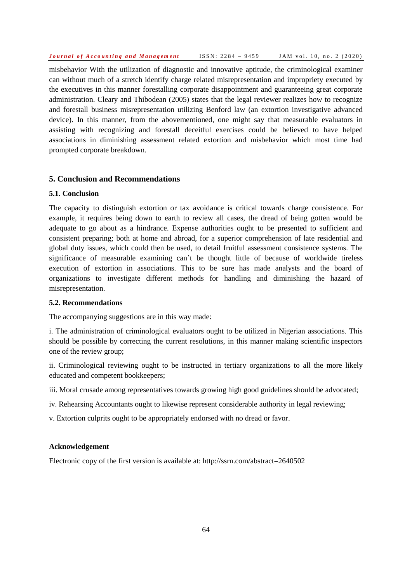misbehavior With the utilization of diagnostic and innovative aptitude, the criminological examiner can without much of a stretch identify charge related misrepresentation and impropriety executed by the executives in this manner forestalling corporate disappointment and guaranteeing great corporate administration. Cleary and Thibodean (2005) states that the legal reviewer realizes how to recognize and forestall business misrepresentation utilizing Benford law (an extortion investigative advanced device). In this manner, from the abovementioned, one might say that measurable evaluators in assisting with recognizing and forestall deceitful exercises could be believed to have helped associations in diminishing assessment related extortion and misbehavior which most time had prompted corporate breakdown.

## **5. Conclusion and Recommendations**

## **5.1. Conclusion**

The capacity to distinguish extortion or tax avoidance is critical towards charge consistence. For example, it requires being down to earth to review all cases, the dread of being gotten would be adequate to go about as a hindrance. Expense authorities ought to be presented to sufficient and consistent preparing; both at home and abroad, for a superior comprehension of late residential and global duty issues, which could then be used, to detail fruitful assessment consistence systems. The significance of measurable examining can't be thought little of because of worldwide tireless execution of extortion in associations. This to be sure has made analysts and the board of organizations to investigate different methods for handling and diminishing the hazard of misrepresentation.

#### **5.2. Recommendations**

The accompanying suggestions are in this way made:

i. The administration of criminological evaluators ought to be utilized in Nigerian associations. This should be possible by correcting the current resolutions, in this manner making scientific inspectors one of the review group;

ii. Criminological reviewing ought to be instructed in tertiary organizations to all the more likely educated and competent bookkeepers;

iii. Moral crusade among representatives towards growing high good guidelines should be advocated;

iv. Rehearsing Accountants ought to likewise represent considerable authority in legal reviewing;

v. Extortion culprits ought to be appropriately endorsed with no dread or favor.

#### **Acknowledgement**

Electronic copy of the first version is available at: http://ssrn.com/abstract=2640502